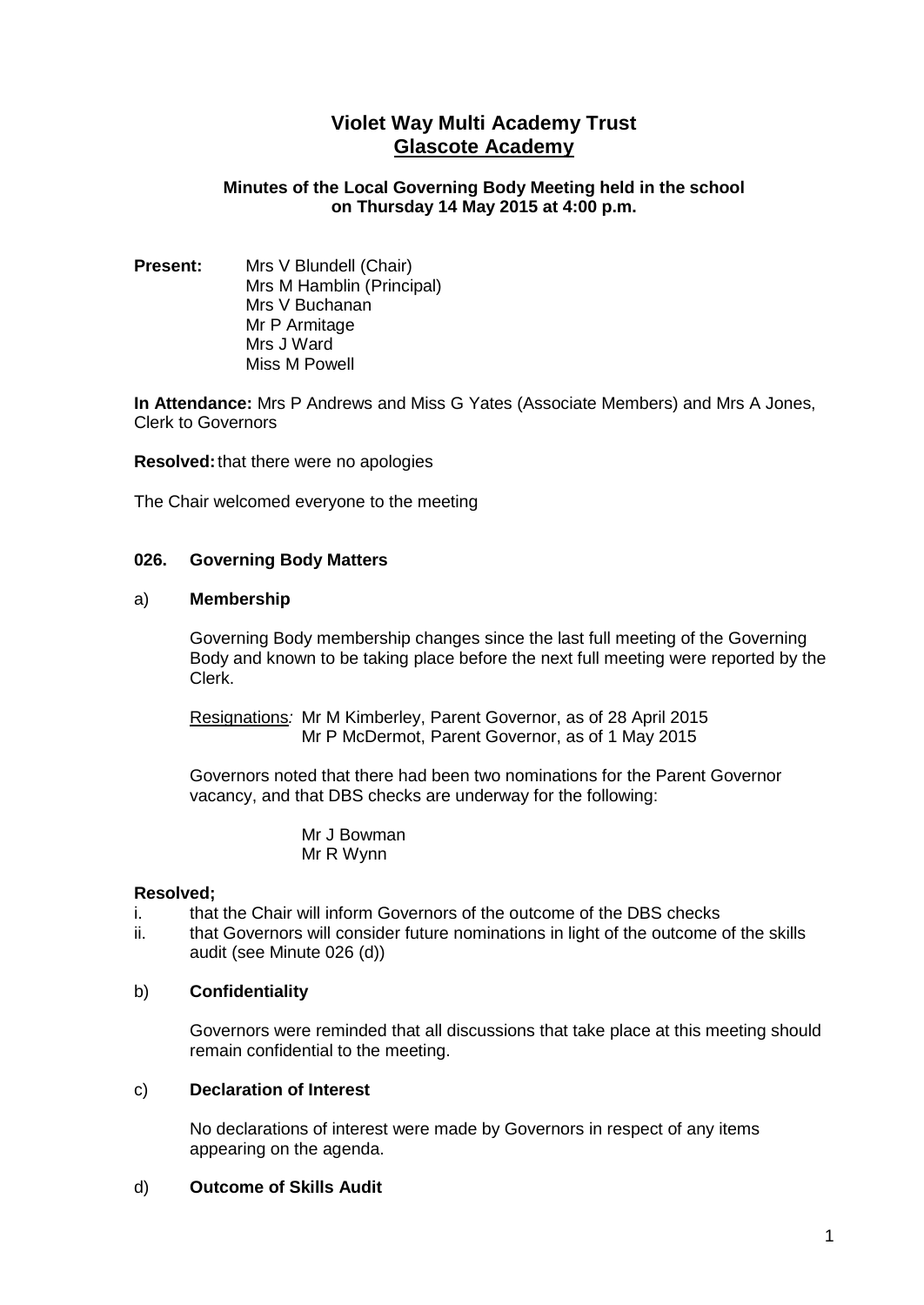# **Violet Way Multi Academy Trust Glascote Academy**

## **Minutes of the Local Governing Body Meeting held in the school on Thursday 14 May 2015 at 4:00 p.m.**

**Present:** Mrs V Blundell (Chair) Mrs M Hamblin (Principal) Mrs V Buchanan Mr P Armitage Mrs J Ward Miss M Powell

**In Attendance:** Mrs P Andrews and Miss G Yates (Associate Members) and Mrs A Jones, Clerk to Governors

**Resolved:**that there were no apologies

The Chair welcomed everyone to the meeting

#### **026. Governing Body Matters**

#### a) **Membership**

Governing Body membership changes since the last full meeting of the Governing Body and known to be taking place before the next full meeting were reported by the Clerk.

Resignations*:* Mr M Kimberley, Parent Governor, as of 28 April 2015 Mr P McDermot, Parent Governor, as of 1 May 2015

Governors noted that there had been two nominations for the Parent Governor vacancy, and that DBS checks are underway for the following:

> Mr J Bowman Mr R Wynn

#### **Resolved;**

- i. that the Chair will inform Governors of the outcome of the DBS checks
- ii. that Governors will consider future nominations in light of the outcome of the skills audit (see Minute 026 (d))

## b) **Confidentiality**

Governors were reminded that all discussions that take place at this meeting should remain confidential to the meeting.

#### c) **Declaration of Interest**

No declarations of interest were made by Governors in respect of any items appearing on the agenda.

#### d) **Outcome of Skills Audit**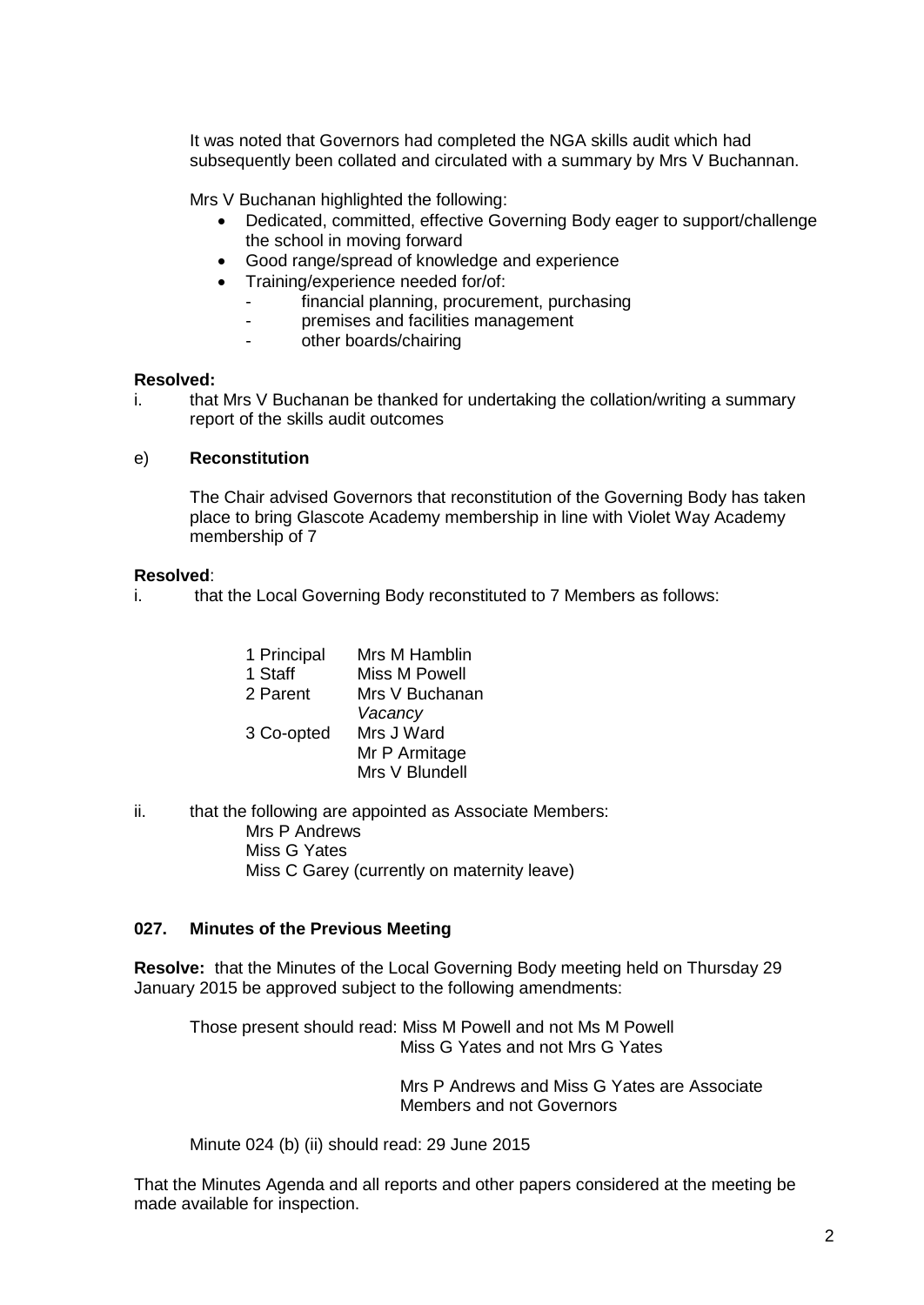It was noted that Governors had completed the NGA skills audit which had subsequently been collated and circulated with a summary by Mrs V Buchannan.

Mrs V Buchanan highlighted the following:

- Dedicated, committed, effective Governing Body eager to support/challenge the school in moving forward
- Good range/spread of knowledge and experience
- Training/experience needed for/of:
	- financial planning, procurement, purchasing
	- premises and facilities management
	- other boards/chairing

#### **Resolved:**

i. that Mrs V Buchanan be thanked for undertaking the collation/writing a summary report of the skills audit outcomes

#### e) **Reconstitution**

The Chair advised Governors that reconstitution of the Governing Body has taken place to bring Glascote Academy membership in line with Violet Way Academy membership of 7

#### **Resolved**:

i. that the Local Governing Body reconstituted to 7 Members as follows:

| 1 Principal<br>1 Staff<br>2 Parent | Mrs M Hamblin<br>Miss M Powell<br>Mrs V Buchanan<br>Vacancy |
|------------------------------------|-------------------------------------------------------------|
| 3 Co-opted                         | Mrs J Ward<br>Mr P Armitage<br>Mrs V Blundell               |

ii. that the following are appointed as Associate Members: Mrs P Andrews Miss G Yates Miss C Garey (currently on maternity leave)

# **027. Minutes of the Previous Meeting**

**Resolve:** that the Minutes of the Local Governing Body meeting held on Thursday 29 January 2015 be approved subject to the following amendments:

Those present should read: Miss M Powell and not Ms M Powell Miss G Yates and not Mrs G Yates

> Mrs P Andrews and Miss G Yates are Associate Members and not Governors

Minute 024 (b) (ii) should read: 29 June 2015

That the Minutes Agenda and all reports and other papers considered at the meeting be made available for inspection.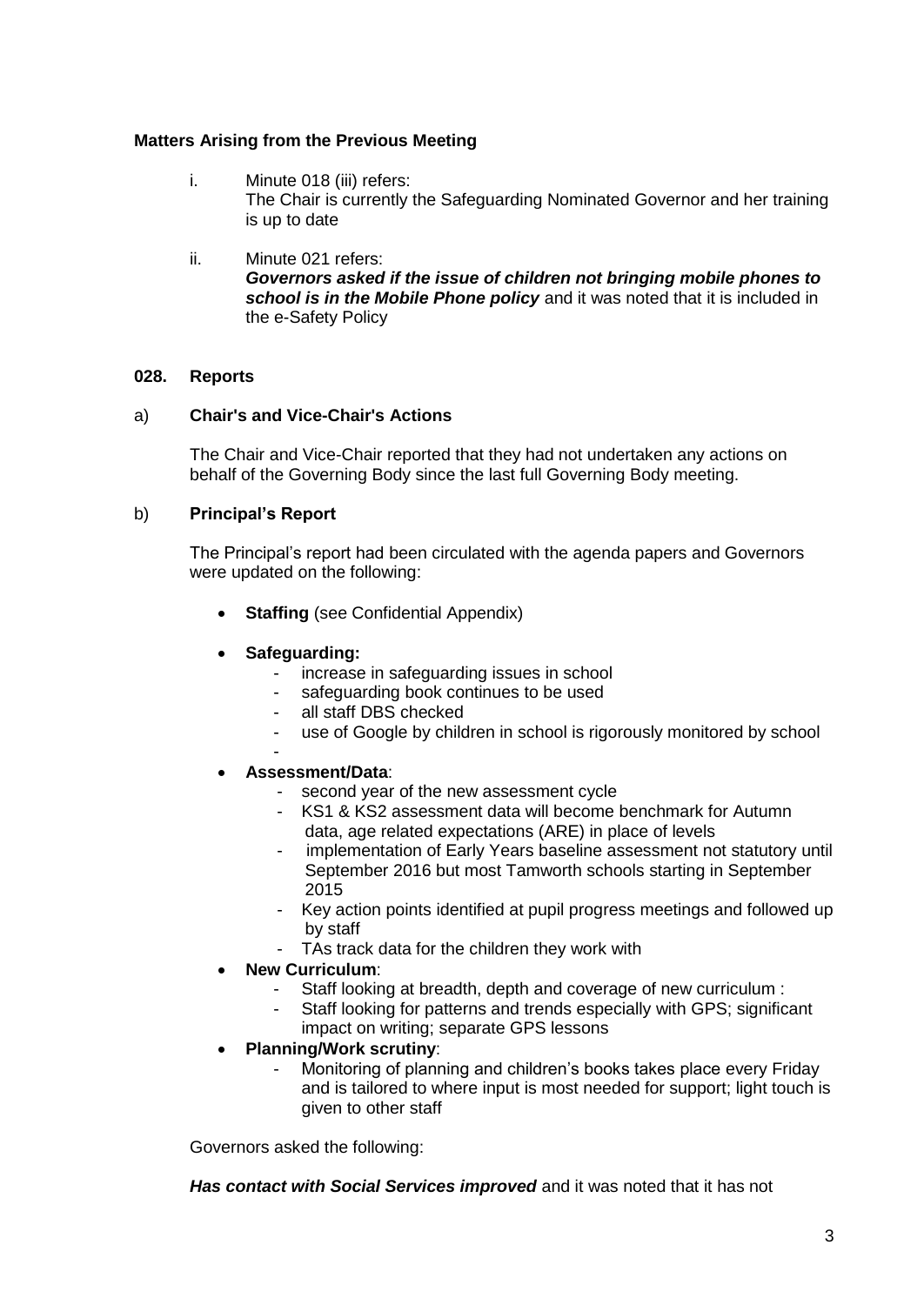# **Matters Arising from the Previous Meeting**

- i. Minute 018 (iii) refers: The Chair is currently the Safeguarding Nominated Governor and her training is up to date
- ii. Minute 021 refers: *Governors asked if the issue of children not bringing mobile phones to school is in the Mobile Phone policy* and it was noted that it is included in the e-Safety Policy

# **028. Reports**

## a) **Chair's and Vice-Chair's Actions**

The Chair and Vice-Chair reported that they had not undertaken any actions on behalf of the Governing Body since the last full Governing Body meeting.

# b) **Principal's Report**

The Principal's report had been circulated with the agenda papers and Governors were updated on the following:

- **Staffing** (see Confidential Appendix)
- **Safeguarding:**
	- increase in safeguarding issues in school
	- safeguarding book continues to be used
	- all staff DBS checked
	- use of Google by children in school is rigorously monitored by school
	-

-

- **Assessment/Data**:
	- second year of the new assessment cycle
	- KS1 & KS2 assessment data will become benchmark for Autumn data, age related expectations (ARE) in place of levels
	- implementation of Early Years baseline assessment not statutory until September 2016 but most Tamworth schools starting in September 2015
	- Key action points identified at pupil progress meetings and followed up by staff
	- TAs track data for the children they work with
- **New Curriculum**:
	- Staff looking at breadth, depth and coverage of new curriculum :
	- Staff looking for patterns and trends especially with GPS; significant impact on writing; separate GPS lessons
- **Planning/Work scrutiny**:
	- Monitoring of planning and children's books takes place every Friday and is tailored to where input is most needed for support; light touch is given to other staff

Governors asked the following:

*Has contact with Social Services improved* and it was noted that it has not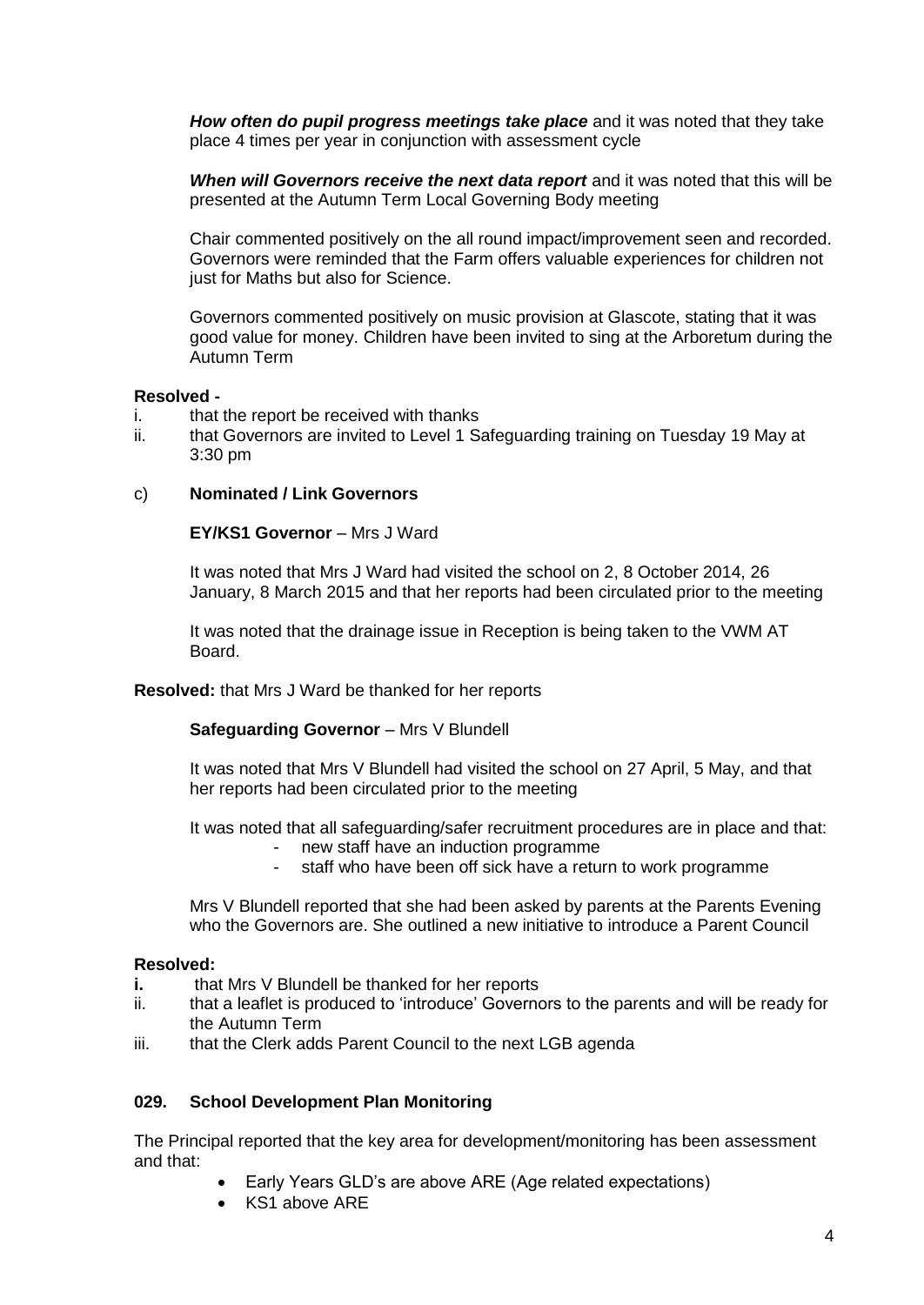*How often do pupil progress meetings take place* and it was noted that they take place 4 times per year in conjunction with assessment cycle

*When will Governors receive the next data report* and it was noted that this will be presented at the Autumn Term Local Governing Body meeting

Chair commented positively on the all round impact/improvement seen and recorded. Governors were reminded that the Farm offers valuable experiences for children not just for Maths but also for Science.

Governors commented positively on music provision at Glascote, stating that it was good value for money. Children have been invited to sing at the Arboretum during the Autumn Term

#### **Resolved -**

- i. that the report be received with thanks
- ii. that Governors are invited to Level 1 Safeguarding training on Tuesday 19 May at 3:30 pm

#### c) **Nominated / Link Governors**

#### **EY/KS1 Governor** – Mrs J Ward

It was noted that Mrs J Ward had visited the school on 2, 8 October 2014, 26 January, 8 March 2015 and that her reports had been circulated prior to the meeting

It was noted that the drainage issue in Reception is being taken to the VWM AT Board.

**Resolved:** that Mrs J Ward be thanked for her reports

**Safeguarding Governor** – Mrs V Blundell

It was noted that Mrs V Blundell had visited the school on 27 April, 5 May, and that her reports had been circulated prior to the meeting

It was noted that all safeguarding/safer recruitment procedures are in place and that:

- new staff have an induction programme
- staff who have been off sick have a return to work programme

Mrs V Blundell reported that she had been asked by parents at the Parents Evening who the Governors are. She outlined a new initiative to introduce a Parent Council

#### **Resolved:**

- **i.** that Mrs V Blundell be thanked for her reports
- ii. that a leaflet is produced to 'introduce' Governors to the parents and will be ready for the Autumn Term
- iii. that the Clerk adds Parent Council to the next LGB agenda

## **029. School Development Plan Monitoring**

The Principal reported that the key area for development/monitoring has been assessment and that:

- Early Years GLD's are above ARE (Age related expectations)
- KS1 above ARE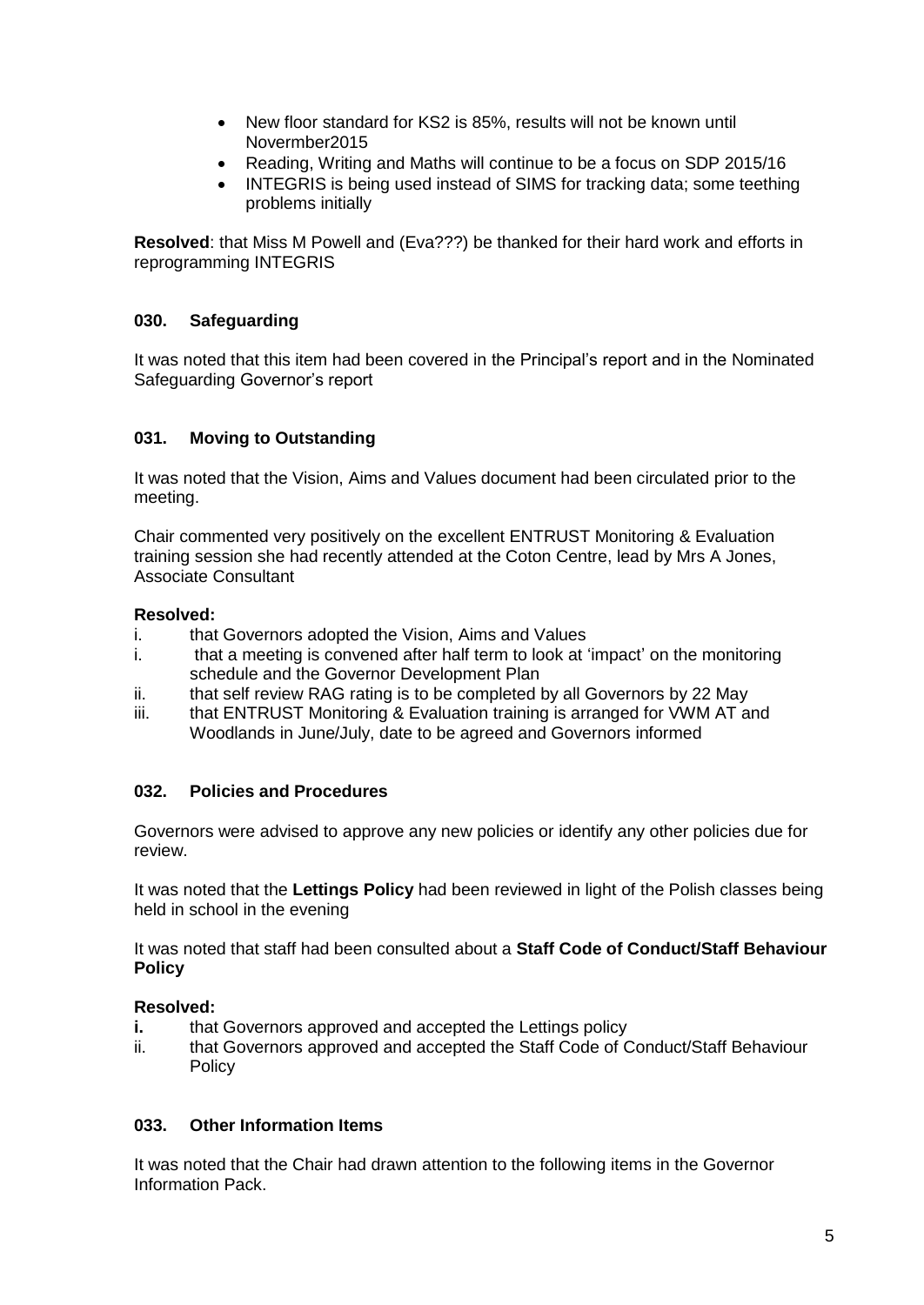- New floor standard for KS2 is 85%, results will not be known until Novermber2015
- Reading, Writing and Maths will continue to be a focus on SDP 2015/16
- INTEGRIS is being used instead of SIMS for tracking data; some teething problems initially

**Resolved**: that Miss M Powell and (Eva???) be thanked for their hard work and efforts in reprogramming INTEGRIS

# **030. Safeguarding**

It was noted that this item had been covered in the Principal's report and in the Nominated Safeguarding Governor's report

# **031. Moving to Outstanding**

It was noted that the Vision, Aims and Values document had been circulated prior to the meeting.

Chair commented very positively on the excellent ENTRUST Monitoring & Evaluation training session she had recently attended at the Coton Centre, lead by Mrs A Jones, Associate Consultant

# **Resolved:**

- i. that Governors adopted the Vision, Aims and Values
- i. that a meeting is convened after half term to look at 'impact' on the monitoring schedule and the Governor Development Plan
- ii. that self review RAG rating is to be completed by all Governors by 22 May
- iii. that ENTRUST Monitoring & Evaluation training is arranged for VWM AT and Woodlands in June/July, date to be agreed and Governors informed

## **032. Policies and Procedures**

Governors were advised to approve any new policies or identify any other policies due for review.

It was noted that the **Lettings Policy** had been reviewed in light of the Polish classes being held in school in the evening

It was noted that staff had been consulted about a **Staff Code of Conduct/Staff Behaviour Policy** 

## **Resolved:**

- **i.** that Governors approved and accepted the Lettings policy
- ii. that Governors approved and accepted the Staff Code of Conduct/Staff Behaviour **Policy**

## **033. Other Information Items**

It was noted that the Chair had drawn attention to the following items in the Governor Information Pack.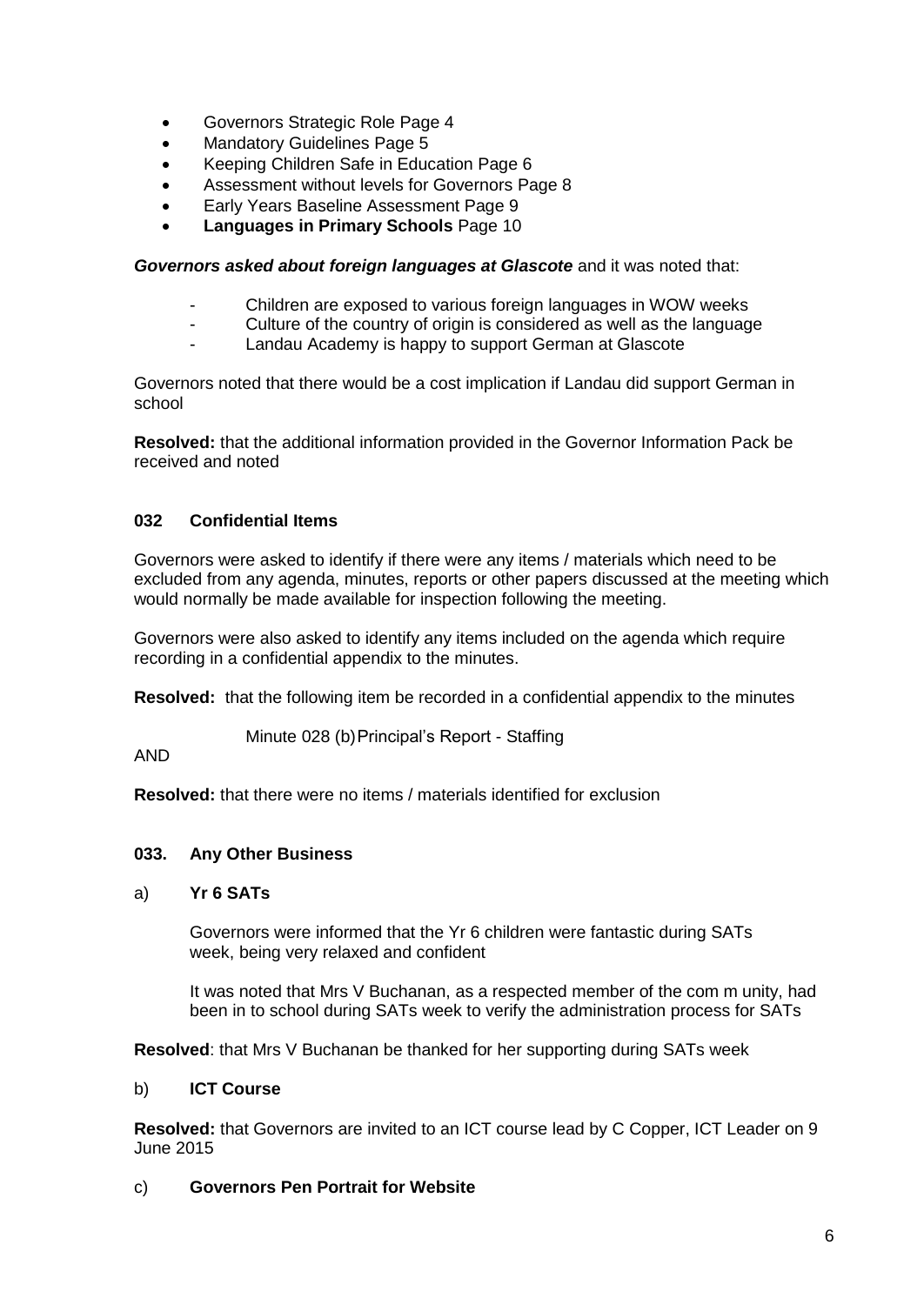- Governors Strategic Role Page 4
- Mandatory Guidelines Page 5
- Keeping Children Safe in Education Page 6
- Assessment without levels for Governors Page 8
- Early Years Baseline Assessment Page 9
- **Languages in Primary Schools** Page 10

*Governors asked about foreign languages at Glascote* and it was noted that:

- Children are exposed to various foreign languages in WOW weeks
- Culture of the country of origin is considered as well as the language
- Landau Academy is happy to support German at Glascote

Governors noted that there would be a cost implication if Landau did support German in school

**Resolved:** that the additional information provided in the Governor Information Pack be received and noted

# **032 Confidential Items**

Governors were asked to identify if there were any items / materials which need to be excluded from any agenda, minutes, reports or other papers discussed at the meeting which would normally be made available for inspection following the meeting.

Governors were also asked to identify any items included on the agenda which require recording in a confidential appendix to the minutes.

**Resolved:** that the following item be recorded in a confidential appendix to the minutes

Minute 028 (b)Principal's Report - Staffing

# AND

**Resolved:** that there were no items / materials identified for exclusion

## **033. Any Other Business**

## a) **Yr 6 SATs**

Governors were informed that the Yr 6 children were fantastic during SATs week, being very relaxed and confident

It was noted that Mrs V Buchanan, as a respected member of the com m unity, had been in to school during SATs week to verify the administration process for SATs

**Resolved**: that Mrs V Buchanan be thanked for her supporting during SATs week

## b) **ICT Course**

**Resolved:** that Governors are invited to an ICT course lead by C Copper, ICT Leader on 9 June 2015

## c) **Governors Pen Portrait for Website**